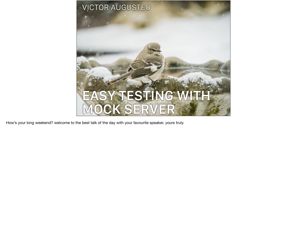

How's your long weekend? welcome to the best talk of the day with your favourite speaker, yours truly.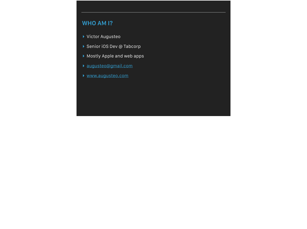## **WHO AM I?**

- ▸ Victor Augusteo
- ▸ Senior iOS Dev @ Tabcorp
- ▸ Mostly Apple and web apps
- ▸ [augusteo@gmail.com](mailto:augusteo@gmail.com)
- ▸ [www.augusteo.com](https://www.augusteo.com/)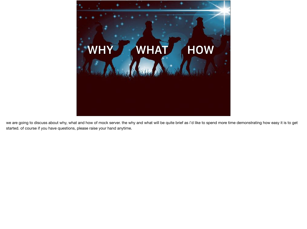

we are going to discuss about why, what and how of mock server. the why and what will be quite brief as i'd like to spend more time demonstrating how easy it is to get started. of course if you have questions, please raise your hand anytime.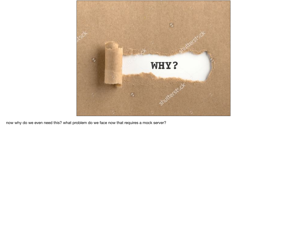

now why do we even need this? what problem do we face now that requires a mock server?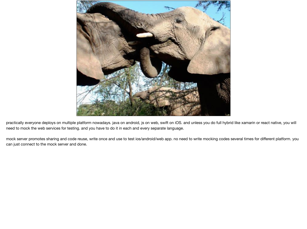

practically everyone deploys on multiple platform nowadays. java on android, js on web, swift on iOS. and unless you do full hybrid like xamarin or react native, you will need to mock the web services for testing. and you have to do it in each and every separate language.

mock server promotes sharing and code reuse, write once and use to test ios/android/web app. no need to write mocking codes several times for different platform. you can just connect to the mock server and done.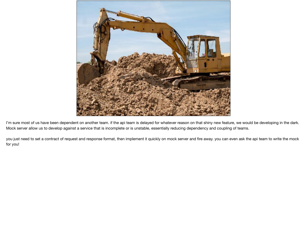

I'm sure most of us have been dependent on another team. if the api team is delayed for whatever reason on that shiny new feature, we would be developing in the dark. Mock server allow us to develop against a service that is incomplete or is unstable, essentially reducing dependency and coupling of teams.

you just need to set a contract of request and response format, then implement it quickly on mock server and fire away. you can even ask the api team to write the mock for you!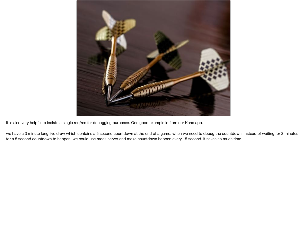

It is also very helpful to isolate a single req/res for debugging purposes. One good example is from our Keno app.

we have a 3 minute long live draw which contains a 5 second countdown at the end of a game. when we need to debug the countdown, instead of waiting for 3 minutes for a 5 second countdown to happen, we could use mock server and make countdown happen every 15 second. it saves so much time.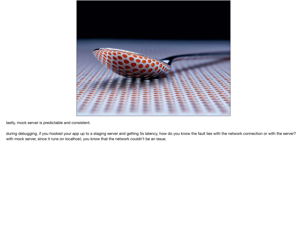

lastly, mock server is predictable and consistent.

during debugging, if you hooked your app up to a staging server and getting 5s latency, how do you know the fault lies with the network connection or with the server? with mock server, since it runs on localhost, you know that the network couldn't be an issue.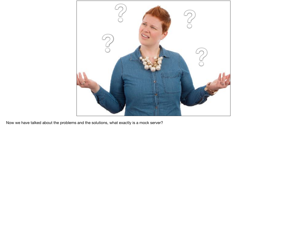

Now we have talked about the problems and the solutions, what exactly is a mock server?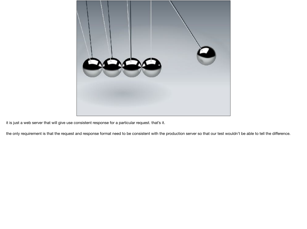

it is just a web server that will give use consistent response for a particular request. that's it.

the only requirement is that the request and response format need to be consistent with the production server so that our test wouldn't be able to tell the difference.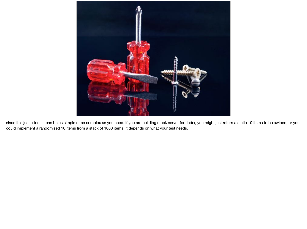

since it is just a tool, it can be as simple or as complex as you need. if you are building mock server for tinder, you might just return a static 10 items to be swiped, or you could implement a randomised 10 items from a stack of 1000 items. it depends on what your test needs.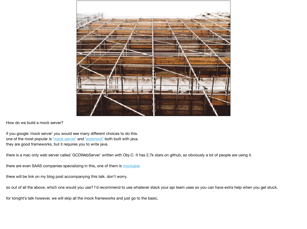

How do we build a mock server?

if you google `mock server` you would see many different choices to do this. one of the most popular is `mock-server` and `wiremock` both built with java. they are good frameworks, but it requires you to write java.

there is a mac only web server called `GCDWebServer` written with Obj-C. It has 2,7k stars on github, so obviously a lot of people are using it.

there are even SAAS companies specializing in this, one of them is mockable

there will be link on my blog post accompanying this talk. don't worry.

so out of all the above, which one would you use? I'd recommend to use whatever stack your api team uses so you can have extra help when you get stuck.

for tonight's talk however, we will skip all the mock frameworks and just go to the basic.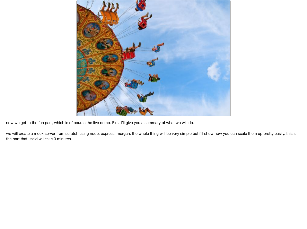

now we get to the fun part, which is of course the live demo. First I'll give you a summary of what we will do.

we will create a mock server from scratch using node, express, morgan. the whole thing will be very simple but i'll show how you can scale them up pretty easily. this is the part that i said will take 3 minutes.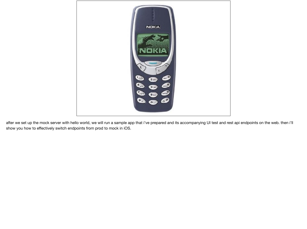

after we set up the mock server with hello world, we will run a sample app that i've prepared and its accompanying UI test and rest api endpoints on the web. then i'll show you how to effectively switch endpoints from prod to mock in iOS.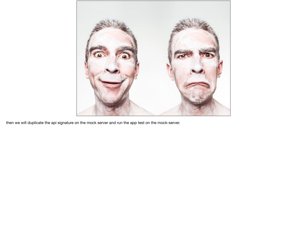

then we will duplicate the api signature on the mock server and run the app test on the mock-server.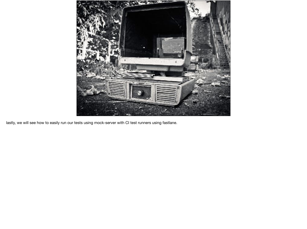

lastly, we will see how to easily run our tests using mock-server with CI test runners using fastlane.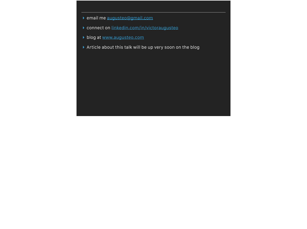- ▸ email me [augusteo@gmail.com](mailto:augusteo@gmail.com)
- ▸ connect on [linkedin.com/in/victoraugusteo](http://linkedin.com/in/victoraugusteo)
- ▸ blog at [www.augusteo.com](https://www.augusteo.com/)
- ▶ Article about this talk will be up very soon on the blog